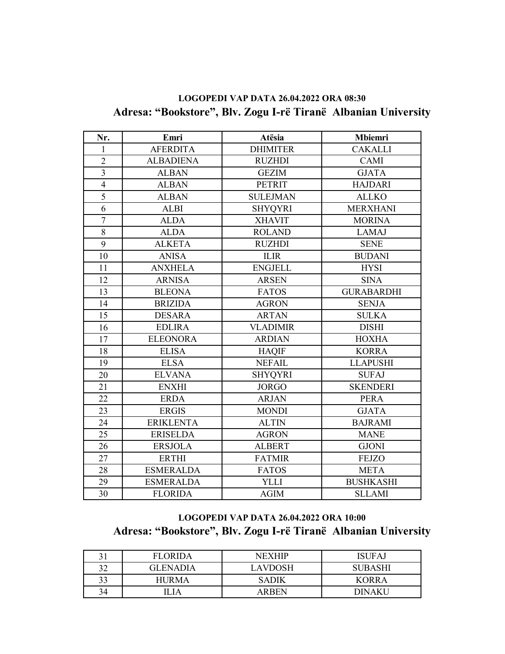| Nr.                     | Emri             | Atësia          | <b>Mbiemri</b>    |
|-------------------------|------------------|-----------------|-------------------|
| $\mathbf{1}$            | <b>AFERDITA</b>  | <b>DHIMITER</b> | <b>CAKALLI</b>    |
| $\overline{2}$          | <b>ALBADIENA</b> | <b>RUZHDI</b>   | <b>CAMI</b>       |
| $\overline{\mathbf{3}}$ | <b>ALBAN</b>     | <b>GEZIM</b>    | <b>GJATA</b>      |
| $\overline{\mathbf{4}}$ | <b>ALBAN</b>     | <b>PETRIT</b>   | <b>HAJDARI</b>    |
| 5                       | <b>ALBAN</b>     | <b>SULEJMAN</b> | <b>ALLKO</b>      |
| 6                       | <b>ALBI</b>      | <b>SHYQYRI</b>  | <b>MERXHANI</b>   |
| $\overline{7}$          | <b>ALDA</b>      | <b>XHAVIT</b>   | <b>MORINA</b>     |
| $\overline{8}$          | <b>ALDA</b>      | <b>ROLAND</b>   | <b>LAMAJ</b>      |
| 9                       | <b>ALKETA</b>    | <b>RUZHDI</b>   | <b>SENE</b>       |
| 10                      | <b>ANISA</b>     | <b>ILIR</b>     | <b>BUDANI</b>     |
| 11                      | <b>ANXHELA</b>   | <b>ENGJELL</b>  | <b>HYSI</b>       |
| 12                      | <b>ARNISA</b>    | <b>ARSEN</b>    | <b>SINA</b>       |
| 13                      | <b>BLEONA</b>    | <b>FATOS</b>    | <b>GURABARDHI</b> |
| 14                      | <b>BRIZIDA</b>   | <b>AGRON</b>    | <b>SENJA</b>      |
| 15                      | <b>DESARA</b>    | <b>ARTAN</b>    | <b>SULKA</b>      |
| 16                      | <b>EDLIRA</b>    | <b>VLADIMIR</b> | <b>DISHI</b>      |
| 17                      | <b>ELEONORA</b>  | <b>ARDIAN</b>   | <b>HOXHA</b>      |
| 18                      | <b>ELISA</b>     | <b>HAQIF</b>    | <b>KORRA</b>      |
| 19                      | <b>ELSA</b>      | <b>NEFAIL</b>   | <b>LLAPUSHI</b>   |
| 20                      | <b>ELVANA</b>    | <b>SHYQYRI</b>  | <b>SUFAJ</b>      |
| 21                      | <b>ENXHI</b>     | <b>JORGO</b>    | <b>SKENDERI</b>   |
| 22                      | <b>ERDA</b>      | <b>ARJAN</b>    | <b>PERA</b>       |
| 23                      | <b>ERGIS</b>     | <b>MONDI</b>    | <b>GJATA</b>      |
| 24                      | <b>ERIKLENTA</b> | <b>ALTIN</b>    | <b>BAJRAMI</b>    |
| 25                      | <b>ERISELDA</b>  | <b>AGRON</b>    | <b>MANE</b>       |
| 26                      | <b>ERSJOLA</b>   | <b>ALBERT</b>   | <b>GJONI</b>      |
| 27                      | <b>ERTHI</b>     | <b>FATMIR</b>   | <b>FEJZO</b>      |
| 28                      | <b>ESMERALDA</b> | <b>FATOS</b>    | <b>META</b>       |
| 29                      | <b>ESMERALDA</b> | <b>YLLI</b>     | <b>BUSHKASHI</b>  |
| 30                      | <b>FLORIDA</b>   | <b>AGIM</b>     | <b>SLLAMI</b>     |

## **LOGOPEDI VAP DATA 26.04.2022 ORA 08:30 Adresa: "Bookstore", Blv. Zogu I-rë Tiranë Albanian University**

## **LOGOPEDI VAP DATA 26.04.2022 ORA 10:00 Adresa: "Bookstore", Blv. Zogu I-rë Tiranë Albanian University**

|    | <b>FLORIDA</b> | <b>NEXHIP</b>  | <b>ISUFAJ</b>       |
|----|----------------|----------------|---------------------|
| 32 | GLENADIA       | <b>LAVDOSH</b> | <b>SUBASHI</b>      |
| 33 | <b>HURMA</b>   | <b>SADIK</b>   | <b>KORRA</b>        |
| 34 | .I A           | <b>ARREN</b>   | DINAKI <sup>.</sup> |